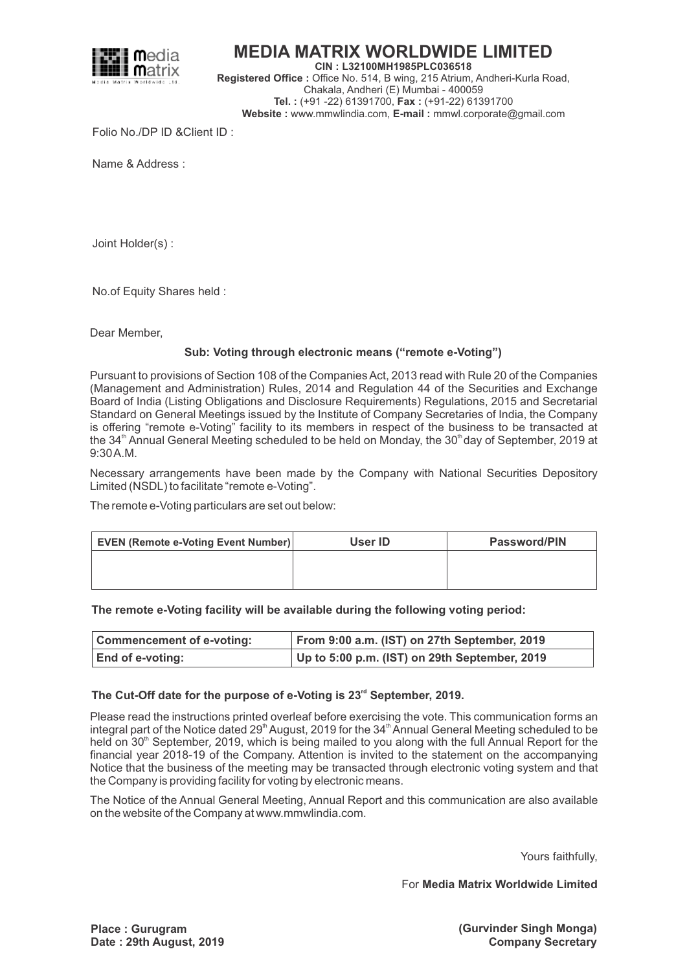

# MEDIA MATRIX WORLDWIDE LIMITED

CIN : L32100MH1985PLC036518 Registered Office : Office No. 514, B wing, 215 Atrium, Andheri-Kurla Road, Chakala, Andheri (E) Mumbai - 400059 Tel. : (+91 -22) 61391700, Fax : (+91-22) 61391700 Website : www.mmwlindia.com, E-mail : mmwl.corporate@gmail.com

Folio No./DP ID &Client ID :

Name & Address :

Joint Holder(s) :

No.of Equity Shares held :

Dear Member,

### Sub: Voting through electronic means ("remote e-Voting")

Pursuant to provisions of Section 108 of the Companies Act, 2013 read with Rule 20 of the Companies (Management and Administration) Rules, 2014 and Regulation 44 of the Securities and Exchange Board of India (Listing Obligations and Disclosure Requirements) Regulations, 2015 and Secretarial Standard on General Meetings issued by the Institute of Company Secretaries of India, the Company is offering "remote e-Voting" facility to its members in respect of the business to be transacted at the 34<sup>th</sup> Annual General Meeting scheduled to be held on Monday, the 30<sup>th</sup> day of September, 2019 at 9:30 A.M.

Necessary arrangements have been made by the Company with National Securities Depository Limited (NSDL) to facilitate "remote e-Voting".

The remote e-Voting particulars are set out below:

| <b>EVEN (Remote e-Voting Event Number)</b> | User ID | <b>Password/PIN</b> |
|--------------------------------------------|---------|---------------------|
|                                            |         |                     |
|                                            |         |                     |

The remote e-Voting facility will be available during the following voting period:

| <b>Commencement of e-voting:</b> | From 9:00 a.m. (IST) on 27th September, 2019  |
|----------------------------------|-----------------------------------------------|
| <b>End of e-voting:</b>          | Up to 5:00 p.m. (IST) on 29th September, 2019 |

#### The Cut-Off date for the purpose of e-Voting is  $23<sup>rd</sup>$  September, 2019.

Please read the instructions printed overleaf before exercising the vote. This communication forms an integral part of the Notice dated  $29<sup>th</sup>$  August, 2019 for the  $34<sup>th</sup>$  Annual General Meeting scheduled to be held on 30<sup>th</sup> September, 2019, which is being mailed to you along with the full Annual Report for the financial year 2018-19 of the Company. Attention is invited to the statement on the accompanying Notice that the business of the meeting may be transacted through electronic voting system and that the Company is providing facility for voting by electronic means.

The Notice of the Annual General Meeting, Annual Report and this communication are also available on the website of the Company at www.mmwlindia.com.

Yours faithfully,

For Media Matrix Worldwide Limited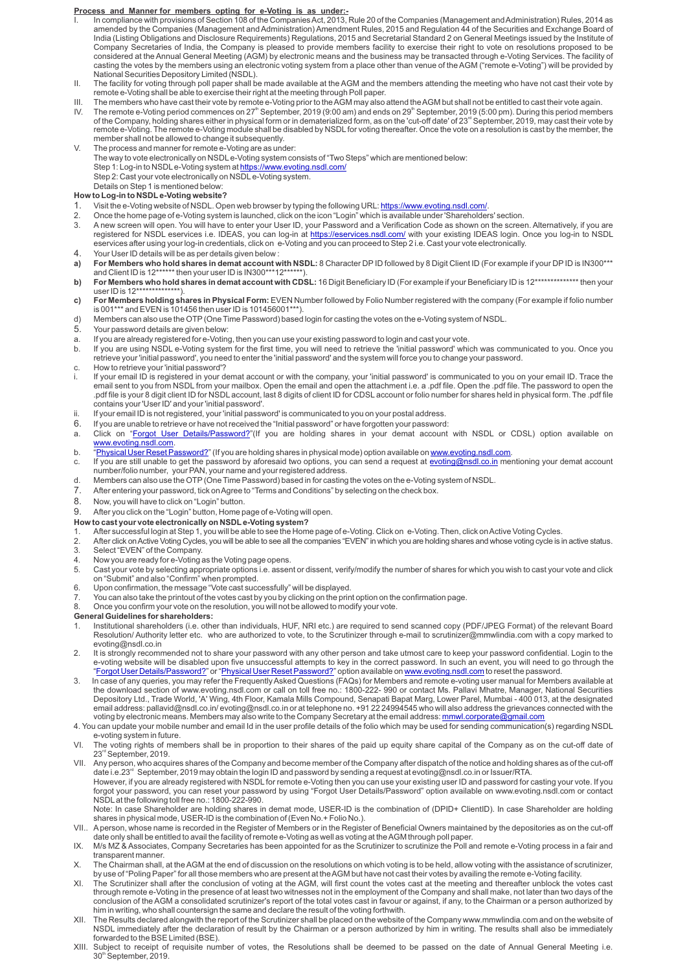#### Process and Manner for members opting for e-Voting is as under:-

- l. In compliance with provisions of Section 108 of the Companies Act, 2013, Rule 20 of the Companies (Management and Administration) Rules, 2014 as<br>amended by the Companies (Management and Administration) Amendment Rules, India (Listing Obligations and Disclosure Requirements) Regulations, 2015 and Secretarial Standard 2 on General Meetings issued by the Institute of Company Secretaries of India, the Company is pleased to provide members facility to exercise their right to vote on resolutions proposed to be<br>considered at the Annual General Meeting (AGM) by electronic means and the busi casting the votes by the members using an electronic voting system from a place other than venue of the AGM ("remote e-Voting") will be provided by National Securities Depository Limited (NSDL).
- II. The facility for voting through poll paper shall be made available at the AGM and the members attending the meeting who have not cast their vote by remote e-Voting shall be able to exercise their right at the meeting through Poll paper.
- III. The members who have cast their vote by remote e-Voting prior to the AGM may also attend the AGM but shall not be entitled to cast their vote again.
- IV. The remote e-Voting period commences on 27<sup>th</sup> September, 2019 (9:00 am) and ends on 29<sup>th</sup> September, 2019 (5:00 pm). During this period members of the Company, holding shares either in physical form or in demateriali member shall not be allowed to change it subsequently.
- V. The process and manner for remote e-Voting are as under:
- The way to vote electronically on NSDLe-Voting system consists of "Two Steps" which are mentioned below:
	- Step 1: Log-in to NSDLe-Voting system at<https://www.evoting.nsdl.com/>
	- Step 2: Cast your vote electronically on NSDLe-Voting system.

#### Details on Step 1 is mentioned below: How to Log-in to NSDLe-Voting website?

- Visit the e-Voting website of NSDL. Open web browser by typing the following URL:<https://www.evoting.nsdl.com/>.
- 2. Once the home page of e-Voting system is launched, click on the icon "Login" which is available under 'Shareholders' section.
- 3. A new screen will open. You will have to enter your User ID, your Password and a Verification Code as shown on the screen. Alternatively, if you are registered for NSDL eservices i.e. IDEAS, you can log-in at <u>https://e</u>
- 4. Your User ID details will be as per details given below :
- a) For Members who hold shares in demat account with NSDL: 8 Character DP ID followed by 8 Digit Client ID (For example if your DP ID is IN300\*\*\*<br>and Client ID is 12\*\*\*\*\*\* then your user ID is IN300\*\*\*12\*\*\*\*\*\*).
- b) For Members who hold shares in demat account with CDSL: 16 Digit Beneficiary ID (For example if your Beneficiary ID is 12\*\*\*\*\*\*\*\*\*\*\*\*\*\* then your user ID is 12\*\*\*\*\*\*\*\*\*\*\*\*\*\*).
- c) For Members holding shares in Physical Form: EVEN Number followed by Folio Number registered with the company (For example if folio number is 001\*\*\* and EVEN is 101456 then user ID is 101456001\*\*\*).
- d) Members can also use the OTP(One Time Password) based login for casting the votes on the e-Voting system of NSDL.
- 5. Your password details are given below:
- a. If you are already registered for e-Voting, then you can use your existing password to login and cast your vote<br>b. If you are using NSDL e-Voting system for the first time, you will need to retrieve the 'initial passwor
- b. If you are using NSDL e-Voting system for the first time, you will need to retrieve the 'initial password' which was communicated to you. Once you retrieve your 'initial password', you need to enter the 'initial password' and the system will force you to change your password.
- c. How to retrieve your 'initial password'?
- i. If your email ID is registered in your demat account or with the company, your 'initial password' is communicated to you on your email ID. Trace the email sent to you from NSDL from your mailbox. Open the email and open the attachment i.e. a .pdf file. Open the .pdf file. The password to open the<br>.pdf file is your 8 digit client ID for NSDL account, last 8 digits of cl contains your 'User ID' and your 'initial password'.
- ii. If your email ID is not registered, your 'initial password' is communicated to you on your postal address.
- 6. If you are unable to retrieve or have not received the "Initial password" or have forgotten your password:
- a. Click on ["Forgot User Details/Password?](https://www.evoting.nsdl.com/eVotingWeb/commonhtmls/NewUser.jsp)"(If you are holding shares in your demat account with NSDL or CDSL) option available on [www.evoting.nsdl.com](http://www.evoting.nsdl.com).
- b. ["Physical User Reset Password?](https://www.evoting.nsdl.com/eVotingWeb/commonhtmls/PhysicalUser.jsp)" (If you are holding shares in physical mode) option available on [www.evoting.nsdl.com](http://www.evoting.nsdl.com)
- c. If you are still unable to get the password by aforesaid two options, you can send a request at [evoting@nsdl.co.in](mailto:evoting@nsdl.co.in) mentioning your demat account number/folio number, your PAN, your name and your registered address.
- d. Members can also use the OTP(One Time Password) based in for casting the votes on the e-Voting system of NSDL.
- 7. After entering your password, tick on Agree to "Terms and Conditions" by selecting on the check box.
- Now, you will have to click on "Login" button.
- 9. After you click on the "Login" button, Home page of e-Voting will open.
- How to cast your vote electronically on NSDLe-Voting system?
- 1. After successful login at Step 1, you will be able to see the Home page of e-Voting. Click on e-Voting. Then, click on Active Voting Cycles.<br>2. After click on Active Voting Cycles, you will be able to see all the compan
- 2. After click on Active Voting Cycles, you will be able to see all the companies "EVEN" in which you are holding shares and whose voting cycle is in active status.<br>3. Select "EVEN" of the Company. 3. Select "EVEN" of the Company.<br>4. Now you are ready for e-Voting
- 
- 4. Now you are ready for e-Voting as the Voting page opens.<br>5. Cast your vote by selecting appropriate options i.e. asser Cast your vote by selecting appropriate options i.e. assent or dissent, verify/modify the number of shares for which you wish to cast your vote and click on "Submit" and also "Confirm" when prompted.
- 6. Upon confirmation, the message "Vote cast successfully" will be displayed.
- 7. You can also take the printout of the votes cast by you by clicking on the print option on the confirmation page.
- 8. Once you confirm your vote on the resolution, you will not be allowed to modify your vote.

#### General Guidelines for shareholders:

- 1. Institutional shareholders (i.e. other than individuals, HUF, NRI etc.) are required to send scanned copy (PDF/JPEG Format) of the relevant Board Resolution/ Authority letter etc. who are authorized to vote, to the Scrutinizer through e-mail to scrutinizer@mmwlindia.com with a copy marked to evoting@nsdl.co.in
- 2. It is strongly recommended not to share your password with any other person and take utmost care to keep your password confidential. Login to the e-voting website will be disabled upon five unsuccessful attempts to key in the correct password. In such an event, you will need to go through the ["Forgot User Details/Password?](https://www.evoting.nsdl.com/eVotingWeb/commonhtmls/NewUser.jsp)" or "[Physical User Reset Password?](https://www.evoting.nsdl.com/eVotingWeb/commonhtmls/PhysicalUser.jsp)" option available on [www.evoting.nsdl.com](http://www.evoting.nsdl.com) to reset the password.
- 3. In case of any queries, you may refer the Frequently Asked Questions (FAQs) for Members and remote e-voting user manual for Members available at<br>the download section of www.evoting.nsdl.com or call on toll free no.: 180 Depository Ltd., Trade World, 'A' Wing, 4th Floor, Kamala Mills Compound, Senapati Bapat Marg, Lower Parel, Mumbai - 400 013, at the designated email address: pallavid@nsdl.co.in/ evoting@nsdl.co.in or at telephone no. +91 22 24994545 who will also address the grievances connected with the voting by electronic means. Members may also write to the Company Secretary at the email address: [mmwl.corporate@gmail.com](mailto:mmwl.corporate@gmail.com)
- 4. You can update your mobile number and email Id in the user profile details of the folio which may be used for sending communication(s) regarding NSDL e-voting system in future.
- VI. The voting rights of members shall be in proportion to their shares of the paid up equity share capital of the Company as on the cut-off date of 23<sup>"</sup> September, 2019.
- VII. Any person, who acquires shares of the Company and become member of the Company after dispatch of the notice and holding shares as of the cut-off date i.e.23<sup>rd</sup> September, 2019 may obtain the login ID and password by sending a request at evoting@nsdl.co.in or Issuer/RTA
	- However, if you are already registered with NSDL for remote e-Voting then you can use your existing user ID and password for casting your vote. If you<br>forgot your password, you can reset your password by using "Forgot User
- Note: In case Shareholder are holding shares in demat mode, USER-ID is the combination of (DPID+ ClientID). In case Shareholder are holding shares in physical mode, USER-ID is the combination of (Even No.+ Folio No.).
- VII.. Aperson, whose name is recorded in the Register of Members or in the Register of Beneficial Owners maintained by the depositories as on the cut-off date only shall be entitled to avail the facility of remote e-Voting as well as voting at the AGM through poll paper.
- IX. M/s MZ & Associates, Company Secretaries has been appointed for as the Scrutinizer to scrutinize the Poll and remote e-Voting process in a fair and transparent manner.
- X. The Chairman shall, at the AGM at the end of discussion on the resolutions on which voting is to be held, allow voting with the assistance of scrutinizer,<br>by use of "Poling Paper" for all those members who are present a
- XI. The Scrutinizer shall after the conclusion of voting at the AGM, will first count the votes cast at the meeting and thereafter unblock the votes cast through remote e-Voting in the presence of at least two witnesses not in the employment of the Company and shall make, not later than two days of the conclusion of the AGM a consolidated scrutinizer's report of the total votes cast in favour or against, if any, to the Chairman or a person authorized by<br>him in writing, who shall countersign the same and declare the resul
- XII. The Results declared alongwith the report of the Scrutinizer shall be placed on the website of the Company www.mmwlindia.com and on the website of NSDL immediately after the declaration of result by the Chairman or a person authorized by him in writing. The results shall also be immediately forwarded to the BSE Limited (BSE).
- XIII. Subject to receipt of requisite number of votes, the Resolutions shall be deemed to be passed on the date of Annual General Meeting i.e. 30<sup>th</sup> September, 2019.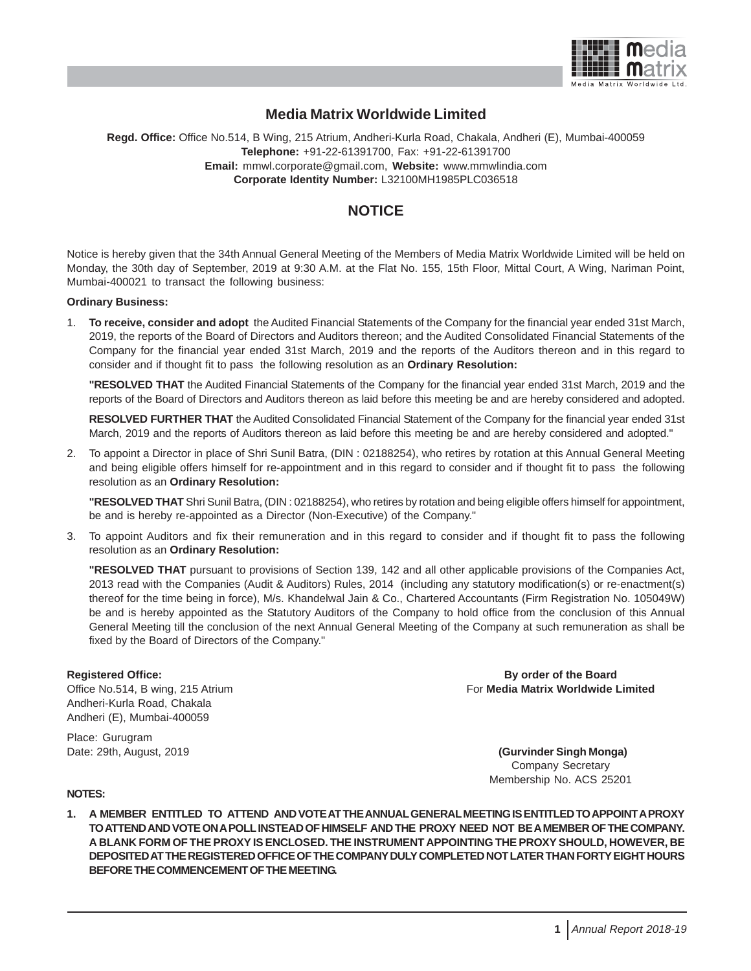

### **Media Matrix Worldwide Limited**

**Regd. Office:** Office No.514, B Wing, 215 Atrium, Andheri-Kurla Road, Chakala, Andheri (E), Mumbai-400059 **Telephone:** +91-22-61391700, Fax: +91-22-61391700 **Email:** mmwl.corporate@gmail.com, **Website:** www.mmwlindia.com **Corporate Identity Number:** L32100MH1985PLC036518

### **NOTICE**

Notice is hereby given that the 34th Annual General Meeting of the Members of Media Matrix Worldwide Limited will be held on Monday, the 30th day of September, 2019 at 9:30 A.M. at the Flat No. 155, 15th Floor, Mittal Court, A Wing, Nariman Point, Mumbai-400021 to transact the following business:

#### **Ordinary Business:**

1. **To receive, consider and adopt** the Audited Financial Statements of the Company for the financial year ended 31st March, 2019, the reports of the Board of Directors and Auditors thereon; and the Audited Consolidated Financial Statements of the Company for the financial year ended 31st March, 2019 and the reports of the Auditors thereon and in this regard to consider and if thought fit to pass the following resolution as an **Ordinary Resolution:**

**"RESOLVED THAT** the Audited Financial Statements of the Company for the financial year ended 31st March, 2019 and the reports of the Board of Directors and Auditors thereon as laid before this meeting be and are hereby considered and adopted.

**RESOLVED FURTHER THAT** the Audited Consolidated Financial Statement of the Company for the financial year ended 31st March, 2019 and the reports of Auditors thereon as laid before this meeting be and are hereby considered and adopted."

2. To appoint a Director in place of Shri Sunil Batra, (DIN : 02188254), who retires by rotation at this Annual General Meeting and being eligible offers himself for re-appointment and in this regard to consider and if thought fit to pass the following resolution as an **Ordinary Resolution:**

**"RESOLVED THAT** Shri Sunil Batra, (DIN : 02188254), who retires by rotation and being eligible offers himself for appointment, be and is hereby re-appointed as a Director (Non-Executive) of the Company."

3. To appoint Auditors and fix their remuneration and in this regard to consider and if thought fit to pass the following resolution as an **Ordinary Resolution:**

**"RESOLVED THAT** pursuant to provisions of Section 139, 142 and all other applicable provisions of the Companies Act, 2013 read with the Companies (Audit & Auditors) Rules, 2014 (including any statutory modification(s) or re-enactment(s) thereof for the time being in force), M/s. Khandelwal Jain & Co., Chartered Accountants (Firm Registration No. 105049W) be and is hereby appointed as the Statutory Auditors of the Company to hold office from the conclusion of this Annual General Meeting till the conclusion of the next Annual General Meeting of the Company at such remuneration as shall be fixed by the Board of Directors of the Company."

Andheri-Kurla Road, Chakala Andheri (E), Mumbai-400059

Place: Gurugram

**Registered Office: By order of the Board** Office No.514, B wing, 215 Atrium **For Media Matrix Worldwide Limited For Media Matrix Worldwide Limited** 

Date: 29th, August, 2019 **(Gurvinder Singh Monga)** Company Secretary Membership No. ACS 25201

#### **NOTES:**

**1. A MEMBER ENTITLED TO ATTEND AND VOTE AT THE ANNUAL GENERAL MEETING IS ENTITLED TO APPOINT A PROXY TO ATTEND AND VOTE ON A POLL INSTEAD OF HIMSELF AND THE PROXY NEED NOT BE A MEMBER OF THE COMPANY. A BLANK FORM OF THE PROXY IS ENCLOSED. THE INSTRUMENT APPOINTING THE PROXY SHOULD, HOWEVER, BE DEPOSITED AT THE REGISTERED OFFICE OF THE COMPANY DULY COMPLETED NOT LATER THAN FORTY EIGHT HOURS BEFORE THE COMMENCEMENT OF THE MEETING.**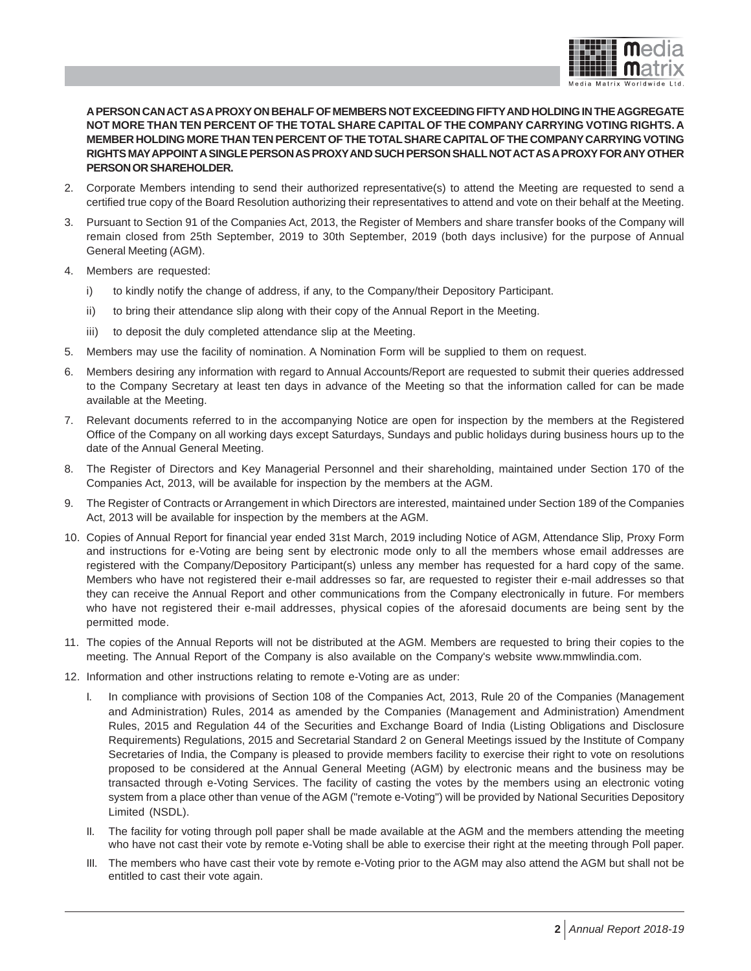

**A PERSON CAN ACT AS A PROXY ON BEHALF OF MEMBERS NOT EXCEEDING FIFTY AND HOLDING IN THE AGGREGATE NOT MORE THAN TEN PERCENT OF THE TOTAL SHARE CAPITAL OF THE COMPANY CARRYING VOTING RIGHTS. A MEMBER HOLDING MORE THAN TEN PERCENT OF THE TOTAL SHARE CAPITAL OF THE COMPANY CARRYING VOTING RIGHTS MAY APPOINT A SINGLE PERSON AS PROXY AND SUCH PERSON SHALL NOT ACT AS A PROXY FOR ANY OTHER PERSON OR SHAREHOLDER.**

- 2. Corporate Members intending to send their authorized representative(s) to attend the Meeting are requested to send a certified true copy of the Board Resolution authorizing their representatives to attend and vote on their behalf at the Meeting.
- 3. Pursuant to Section 91 of the Companies Act, 2013, the Register of Members and share transfer books of the Company will remain closed from 25th September, 2019 to 30th September, 2019 (both days inclusive) for the purpose of Annual General Meeting (AGM).
- 4. Members are requested:
	- i) to kindly notify the change of address, if any, to the Company/their Depository Participant.
	- ii) to bring their attendance slip along with their copy of the Annual Report in the Meeting.
	- iii) to deposit the duly completed attendance slip at the Meeting.
- 5. Members may use the facility of nomination. A Nomination Form will be supplied to them on request.
- 6. Members desiring any information with regard to Annual Accounts/Report are requested to submit their queries addressed to the Company Secretary at least ten days in advance of the Meeting so that the information called for can be made available at the Meeting.
- 7. Relevant documents referred to in the accompanying Notice are open for inspection by the members at the Registered Office of the Company on all working days except Saturdays, Sundays and public holidays during business hours up to the date of the Annual General Meeting.
- 8. The Register of Directors and Key Managerial Personnel and their shareholding, maintained under Section 170 of the Companies Act, 2013, will be available for inspection by the members at the AGM.
- 9. The Register of Contracts or Arrangement in which Directors are interested, maintained under Section 189 of the Companies Act, 2013 will be available for inspection by the members at the AGM.
- 10. Copies of Annual Report for financial year ended 31st March, 2019 including Notice of AGM, Attendance Slip, Proxy Form and instructions for e-Voting are being sent by electronic mode only to all the members whose email addresses are registered with the Company/Depository Participant(s) unless any member has requested for a hard copy of the same. Members who have not registered their e-mail addresses so far, are requested to register their e-mail addresses so that they can receive the Annual Report and other communications from the Company electronically in future. For members who have not registered their e-mail addresses, physical copies of the aforesaid documents are being sent by the permitted mode.
- 11. The copies of the Annual Reports will not be distributed at the AGM. Members are requested to bring their copies to the meeting. The Annual Report of the Company is also available on the Company's website www.mmwlindia.com.
- 12. Information and other instructions relating to remote e-Voting are as under:
	- I. In compliance with provisions of Section 108 of the Companies Act, 2013, Rule 20 of the Companies (Management and Administration) Rules, 2014 as amended by the Companies (Management and Administration) Amendment Rules, 2015 and Regulation 44 of the Securities and Exchange Board of India (Listing Obligations and Disclosure Requirements) Regulations, 2015 and Secretarial Standard 2 on General Meetings issued by the Institute of Company Secretaries of India, the Company is pleased to provide members facility to exercise their right to vote on resolutions proposed to be considered at the Annual General Meeting (AGM) by electronic means and the business may be transacted through e-Voting Services. The facility of casting the votes by the members using an electronic voting system from a place other than venue of the AGM ("remote e-Voting") will be provided by National Securities Depository Limited (NSDL).
	- II. The facility for voting through poll paper shall be made available at the AGM and the members attending the meeting who have not cast their vote by remote e-Voting shall be able to exercise their right at the meeting through Poll paper.
	- III. The members who have cast their vote by remote e-Voting prior to the AGM may also attend the AGM but shall not be entitled to cast their vote again.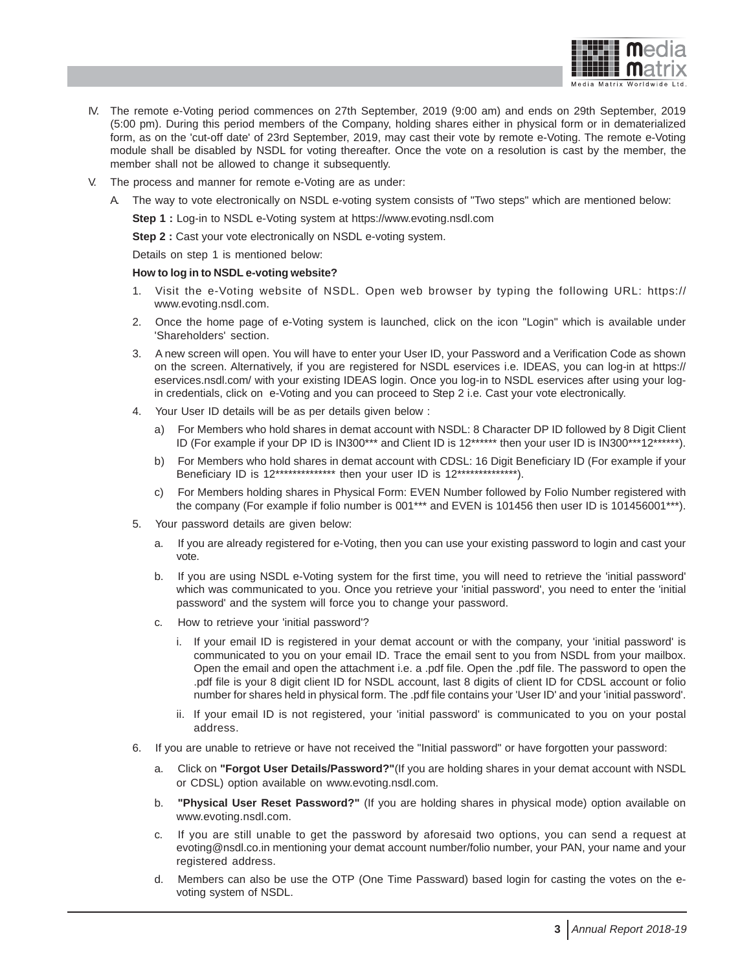

- IV. The remote e-Voting period commences on 27th September, 2019 (9:00 am) and ends on 29th September, 2019 (5:00 pm). During this period members of the Company, holding shares either in physical form or in dematerialized form, as on the 'cut-off date' of 23rd September, 2019, may cast their vote by remote e-Voting. The remote e-Voting module shall be disabled by NSDL for voting thereafter. Once the vote on a resolution is cast by the member, the member shall not be allowed to change it subsequently.
- V. The process and manner for remote e-Voting are as under:
	- A. The way to vote electronically on NSDL e-voting system consists of "Two steps" which are mentioned below:

**Step 1 :** Log-in to NSDL e-Voting system at https://www.evoting.nsdl.com

**Step 2 :** Cast your vote electronically on NSDL e-voting system.

Details on step 1 is mentioned below:

#### **How to log in to NSDL e-voting website?**

- 1. Visit the e-Voting website of NSDL. Open web browser by typing the following URL: https:// www.evoting.nsdl.com.
- 2. Once the home page of e-Voting system is launched, click on the icon "Login" which is available under 'Shareholders' section.
- 3. A new screen will open. You will have to enter your User ID, your Password and a Verification Code as shown on the screen. Alternatively, if you are registered for NSDL eservices i.e. IDEAS, you can log-in at https:// eservices.nsdl.com/ with your existing IDEAS login. Once you log-in to NSDL eservices after using your login credentials, click on e-Voting and you can proceed to Step 2 i.e. Cast your vote electronically.
- 4. Your User ID details will be as per details given below :
	- a) For Members who hold shares in demat account with NSDL: 8 Character DP ID followed by 8 Digit Client ID (For example if your DP ID is IN300\*\*\* and Client ID is 12\*\*\*\*\*\* then your user ID is IN300\*\*\*12\*\*\*\*\*\*).
	- b) For Members who hold shares in demat account with CDSL: 16 Digit Beneficiary ID (For example if your Beneficiary ID is 12\*\*\*\*\*\*\*\*\*\*\*\*\*\* then your user ID is 12\*\*\*\*\*\*\*\*\*\*\*\*\*\*).
	- c) For Members holding shares in Physical Form: EVEN Number followed by Folio Number registered with the company (For example if folio number is 001\*\*\* and EVEN is 101456 then user ID is 101456001\*\*\*).
- 5. Your password details are given below:
	- a. If you are already registered for e-Voting, then you can use your existing password to login and cast your vote.
	- b. If you are using NSDL e-Voting system for the first time, you will need to retrieve the 'initial password' which was communicated to you. Once you retrieve your 'initial password', you need to enter the 'initial password' and the system will force you to change your password.
	- c. How to retrieve your 'initial password'?
		- i. If your email ID is registered in your demat account or with the company, your 'initial password' is communicated to you on your email ID. Trace the email sent to you from NSDL from your mailbox. Open the email and open the attachment i.e. a .pdf file. Open the .pdf file. The password to open the .pdf file is your 8 digit client ID for NSDL account, last 8 digits of client ID for CDSL account or folio number for shares held in physical form. The .pdf file contains your 'User ID' and your 'initial password'.
		- ii. If your email ID is not registered, your 'initial password' is communicated to you on your postal address.
- 6. If you are unable to retrieve or have not received the "Initial password" or have forgotten your password:
	- a. Click on **"Forgot User Details/Password?"**(If you are holding shares in your demat account with NSDL or CDSL) option available on www.evoting.nsdl.com.
	- b. **"Physical User Reset Password?"** (If you are holding shares in physical mode) option available on www.evoting.nsdl.com.
	- c. If you are still unable to get the password by aforesaid two options, you can send a request at evoting@nsdl.co.in mentioning your demat account number/folio number, your PAN, your name and your registered address.
	- d. Members can also be use the OTP (One Time Passward) based login for casting the votes on the evoting system of NSDL.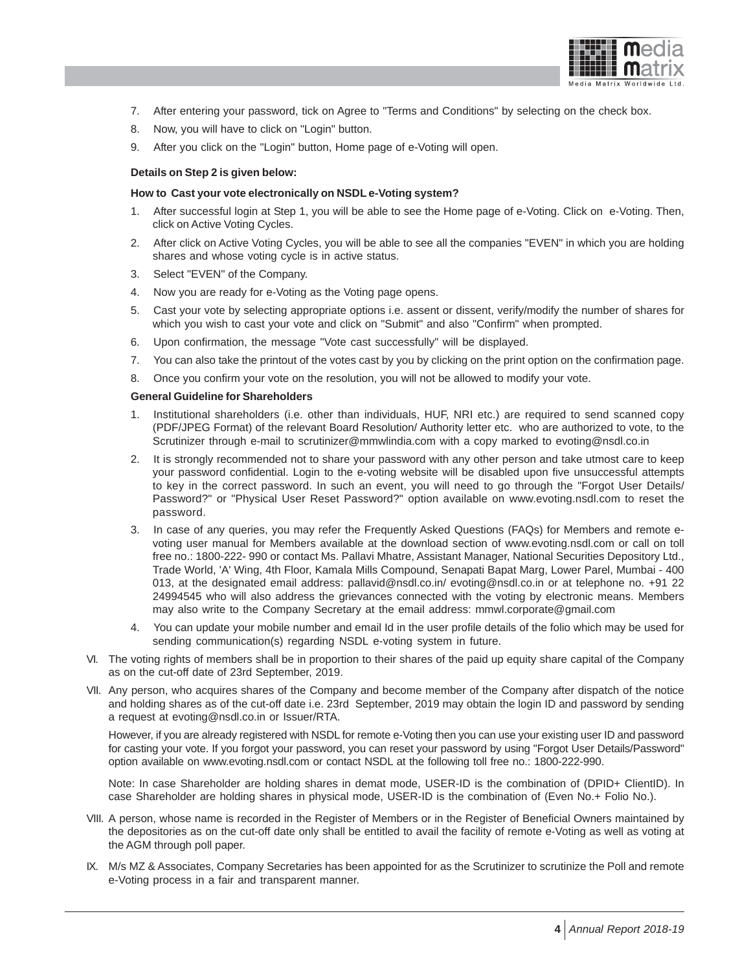

- 7. After entering your password, tick on Agree to "Terms and Conditions" by selecting on the check box.
- 8. Now, you will have to click on "Login" button.
- 9. After you click on the "Login" button, Home page of e-Voting will open.

#### **Details on Step 2 is given below:**

#### **How to Cast your vote electronically on NSDL e-Voting system?**

- 1. After successful login at Step 1, you will be able to see the Home page of e-Voting. Click on e-Voting. Then, click on Active Voting Cycles.
- 2. After click on Active Voting Cycles, you will be able to see all the companies "EVEN" in which you are holding shares and whose voting cycle is in active status.
- 3. Select "EVEN" of the Company.
- 4. Now you are ready for e-Voting as the Voting page opens.
- 5. Cast your vote by selecting appropriate options i.e. assent or dissent, verify/modify the number of shares for which you wish to cast your vote and click on "Submit" and also "Confirm" when prompted.
- 6. Upon confirmation, the message "Vote cast successfully" will be displayed.
- 7. You can also take the printout of the votes cast by you by clicking on the print option on the confirmation page.
- 8. Once you confirm your vote on the resolution, you will not be allowed to modify your vote.

#### **General Guideline for Shareholders**

- 1. Institutional shareholders (i.e. other than individuals, HUF, NRI etc.) are required to send scanned copy (PDF/JPEG Format) of the relevant Board Resolution/ Authority letter etc. who are authorized to vote, to the Scrutinizer through e-mail to scrutinizer@mmwlindia.com with a copy marked to evoting@nsdl.co.in
- 2. It is strongly recommended not to share your password with any other person and take utmost care to keep your password confidential. Login to the e-voting website will be disabled upon five unsuccessful attempts to key in the correct password. In such an event, you will need to go through the "Forgot User Details/ Password?" or "Physical User Reset Password?" option available on www.evoting.nsdl.com to reset the password.
- 3. In case of any queries, you may refer the Frequently Asked Questions (FAQs) for Members and remote evoting user manual for Members available at the download section of www.evoting.nsdl.com or call on toll free no.: 1800-222- 990 or contact Ms. Pallavi Mhatre, Assistant Manager, National Securities Depository Ltd., Trade World, 'A' Wing, 4th Floor, Kamala Mills Compound, Senapati Bapat Marg, Lower Parel, Mumbai - 400 013, at the designated email address: pallavid@nsdl.co.in/ evoting@nsdl.co.in or at telephone no. +91 22 24994545 who will also address the grievances connected with the voting by electronic means. Members may also write to the Company Secretary at the email address: mmwl.corporate@gmail.com
- 4. You can update your mobile number and email Id in the user profile details of the folio which may be used for sending communication(s) regarding NSDL e-voting system in future.
- VI. The voting rights of members shall be in proportion to their shares of the paid up equity share capital of the Company as on the cut-off date of 23rd September, 2019.
- VII. Any person, who acquires shares of the Company and become member of the Company after dispatch of the notice and holding shares as of the cut-off date i.e. 23rd September, 2019 may obtain the login ID and password by sending a request at evoting@nsdl.co.in or Issuer/RTA.

However, if you are already registered with NSDL for remote e-Voting then you can use your existing user ID and password for casting your vote. If you forgot your password, you can reset your password by using "Forgot User Details/Password" option available on www.evoting.nsdl.com or contact NSDL at the following toll free no.: 1800-222-990.

Note: In case Shareholder are holding shares in demat mode, USER-ID is the combination of (DPID+ ClientID). In case Shareholder are holding shares in physical mode, USER-ID is the combination of (Even No.+ Folio No.).

- VIII. A person, whose name is recorded in the Register of Members or in the Register of Beneficial Owners maintained by the depositories as on the cut-off date only shall be entitled to avail the facility of remote e-Voting as well as voting at the AGM through poll paper.
- IX. M/s MZ & Associates, Company Secretaries has been appointed for as the Scrutinizer to scrutinize the Poll and remote e-Voting process in a fair and transparent manner.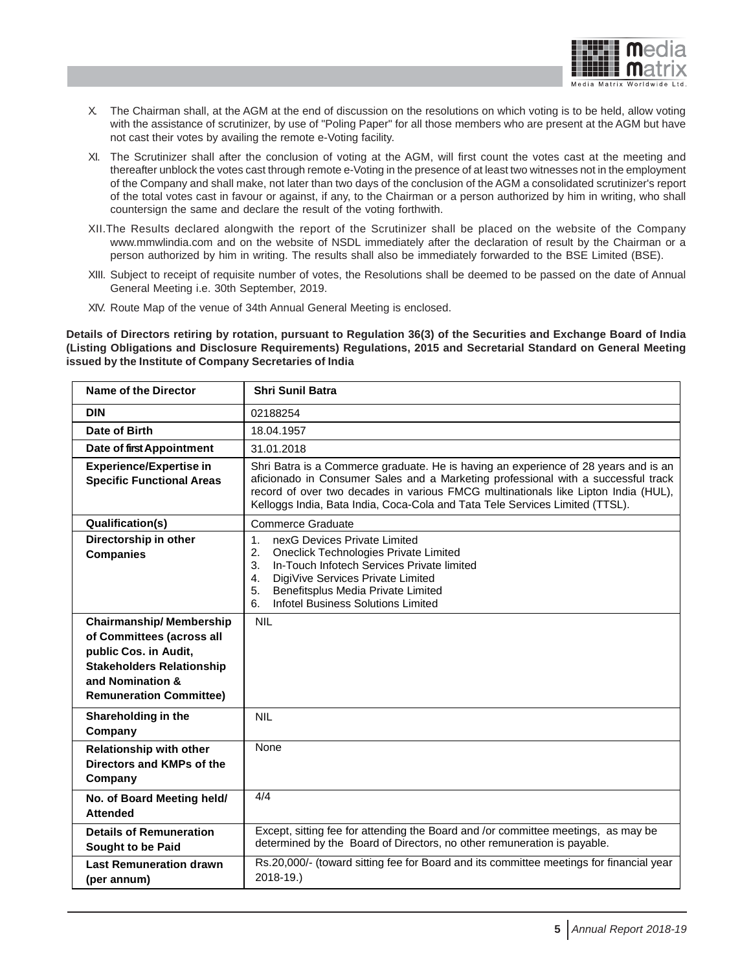

- X. The Chairman shall, at the AGM at the end of discussion on the resolutions on which voting is to be held, allow voting with the assistance of scrutinizer, by use of "Poling Paper" for all those members who are present at the AGM but have not cast their votes by availing the remote e-Voting facility.
- XI. The Scrutinizer shall after the conclusion of voting at the AGM, will first count the votes cast at the meeting and thereafter unblock the votes cast through remote e-Voting in the presence of at least two witnesses not in the employment of the Company and shall make, not later than two days of the conclusion of the AGM a consolidated scrutinizer's report of the total votes cast in favour or against, if any, to the Chairman or a person authorized by him in writing, who shall countersign the same and declare the result of the voting forthwith.
- XII.The Results declared alongwith the report of the Scrutinizer shall be placed on the website of the Company www.mmwlindia.com and on the website of NSDL immediately after the declaration of result by the Chairman or a person authorized by him in writing. The results shall also be immediately forwarded to the BSE Limited (BSE).
- XIII. Subject to receipt of requisite number of votes, the Resolutions shall be deemed to be passed on the date of Annual General Meeting i.e. 30th September, 2019.
- XIV. Route Map of the venue of 34th Annual General Meeting is enclosed.

**Details of Directors retiring by rotation, pursuant to Regulation 36(3) of the Securities and Exchange Board of India (Listing Obligations and Disclosure Requirements) Regulations, 2015 and Secretarial Standard on General Meeting issued by the Institute of Company Secretaries of India**

| <b>Name of the Director</b>                                                                                                                                                    | <b>Shri Sunil Batra</b>                                                                                                                                                                                                                                                                                                                        |  |
|--------------------------------------------------------------------------------------------------------------------------------------------------------------------------------|------------------------------------------------------------------------------------------------------------------------------------------------------------------------------------------------------------------------------------------------------------------------------------------------------------------------------------------------|--|
| <b>DIN</b>                                                                                                                                                                     | 02188254                                                                                                                                                                                                                                                                                                                                       |  |
| Date of Birth                                                                                                                                                                  | 18.04.1957                                                                                                                                                                                                                                                                                                                                     |  |
| Date of first Appointment                                                                                                                                                      | 31.01.2018                                                                                                                                                                                                                                                                                                                                     |  |
| <b>Experience/Expertise in</b><br><b>Specific Functional Areas</b>                                                                                                             | Shri Batra is a Commerce graduate. He is having an experience of 28 years and is an<br>aficionado in Consumer Sales and a Marketing professional with a successful track<br>record of over two decades in various FMCG multinationals like Lipton India (HUL),<br>Kelloggs India, Bata India, Coca-Cola and Tata Tele Services Limited (TTSL). |  |
| Qualification(s)                                                                                                                                                               | <b>Commerce Graduate</b>                                                                                                                                                                                                                                                                                                                       |  |
| Directorship in other<br><b>Companies</b>                                                                                                                                      | nexG Devices Private Limited<br>1 <sub>1</sub><br>2.<br><b>Oneclick Technologies Private Limited</b><br>In-Touch Infotech Services Private limited<br>3.<br>DigiVive Services Private Limited<br>4 <sup>1</sup><br>Benefitsplus Media Private Limited<br>5.<br>Infotel Business Solutions Limited<br>6.                                        |  |
| <b>Chairmanship/Membership</b><br>of Committees (across all<br>public Cos. in Audit,<br><b>Stakeholders Relationship</b><br>and Nomination &<br><b>Remuneration Committee)</b> | <b>NIL</b>                                                                                                                                                                                                                                                                                                                                     |  |
| Shareholding in the<br>Company                                                                                                                                                 | <b>NIL</b>                                                                                                                                                                                                                                                                                                                                     |  |
| <b>Relationship with other</b><br>Directors and KMPs of the<br>Company                                                                                                         | None                                                                                                                                                                                                                                                                                                                                           |  |
| No. of Board Meeting held/<br><b>Attended</b>                                                                                                                                  | 4/4                                                                                                                                                                                                                                                                                                                                            |  |
| <b>Details of Remuneration</b><br>Sought to be Paid                                                                                                                            | Except, sitting fee for attending the Board and /or committee meetings, as may be<br>determined by the Board of Directors, no other remuneration is payable.                                                                                                                                                                                   |  |
| <b>Last Remuneration drawn</b><br>(per annum)                                                                                                                                  | Rs.20,000/- (toward sitting fee for Board and its committee meetings for financial year<br>2018-19.)                                                                                                                                                                                                                                           |  |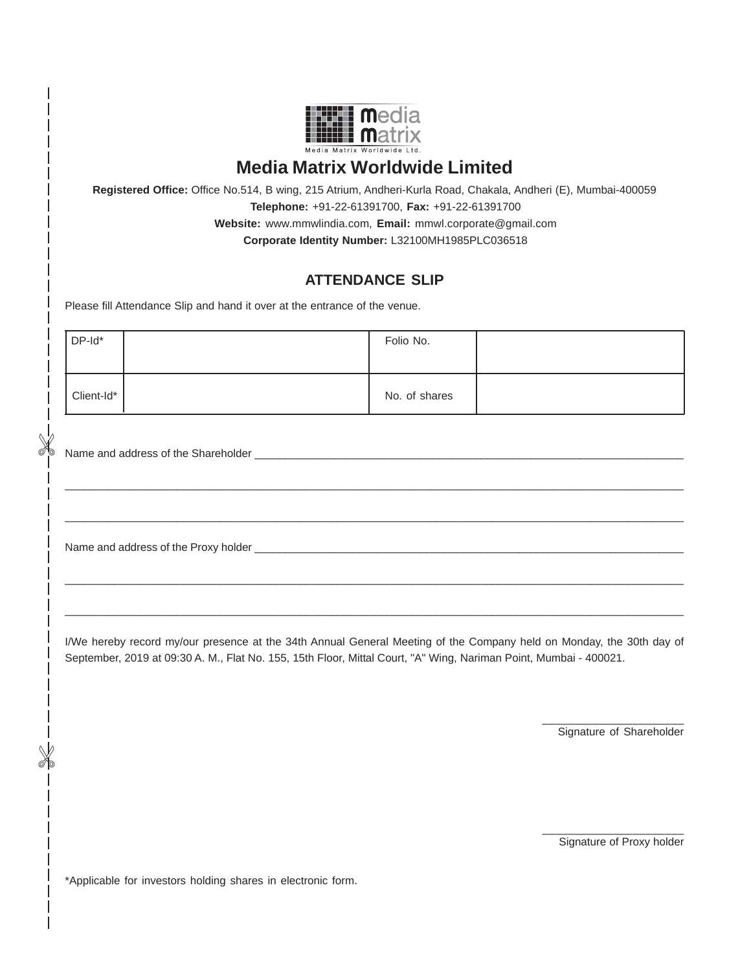

# **Media Matrix Worldwide Limited**

**Registered Office:** Office No.514, B wing, 215 Atrium, Andheri-Kurla Road, Chakala, Andheri (E), Mumbai-400059 **Telephone:** +91-22-61391700, **Fax:** +91-22-61391700 **Website:** www.mmwlindia.com, **Email:** mmwl.corporate@gmail.com **Corporate Identity Number:** L32100MH1985PLC036518

# **ATTENDANCE SLIP**

Please fill Attendance Slip and hand it over at the entrance of the venue.

| DP-Id*     | Folio No.     |  |
|------------|---------------|--|
| Client-Id* | No. of shares |  |

\_\_\_\_\_\_\_\_\_\_\_\_\_\_\_\_\_\_\_\_\_\_\_\_\_\_\_\_\_\_\_\_\_\_\_\_\_\_\_\_\_\_\_\_\_\_\_\_\_\_\_\_\_\_\_\_\_\_\_\_\_\_\_\_\_\_\_\_\_\_\_\_\_\_\_\_\_\_\_\_\_\_\_\_\_\_\_\_\_\_\_\_\_\_\_\_\_\_\_\_

\_\_\_\_\_\_\_\_\_\_\_\_\_\_\_\_\_\_\_\_\_\_\_\_\_\_\_\_\_\_\_\_\_\_\_\_\_\_\_\_\_\_\_\_\_\_\_\_\_\_\_\_\_\_\_\_\_\_\_\_\_\_\_\_\_\_\_\_\_\_\_\_\_\_\_\_\_\_\_\_\_\_\_\_\_\_\_\_\_\_\_\_\_\_\_\_\_\_\_\_

\_\_\_\_\_\_\_\_\_\_\_\_\_\_\_\_\_\_\_\_\_\_\_\_\_\_\_\_\_\_\_\_\_\_\_\_\_\_\_\_\_\_\_\_\_\_\_\_\_\_\_\_\_\_\_\_\_\_\_\_\_\_\_\_\_\_\_\_\_\_\_\_\_\_\_\_\_\_\_\_\_\_\_\_\_\_\_\_\_\_\_\_\_\_\_\_\_\_\_\_

\_\_\_\_\_\_\_\_\_\_\_\_\_\_\_\_\_\_\_\_\_\_\_\_\_\_\_\_\_\_\_\_\_\_\_\_\_\_\_\_\_\_\_\_\_\_\_\_\_\_\_\_\_\_\_\_\_\_\_\_\_\_\_\_\_\_\_\_\_\_\_\_\_\_\_\_\_\_\_\_\_\_\_\_\_\_\_\_\_\_\_\_\_\_\_\_\_\_\_\_

Name and address of the Shareholder

Name and address of the Proxy holder \_\_\_\_\_\_\_\_\_\_\_\_\_\_\_\_\_\_\_\_\_\_\_\_\_\_\_\_\_\_\_\_\_\_\_\_\_\_\_\_\_\_\_\_\_\_\_\_\_\_\_\_\_\_\_\_\_\_\_\_\_\_\_\_\_\_\_\_\_\_

I/We hereby record my/our presence at the 34th Annual General Meeting of the Company held on Monday, the 30th day of September, 2019 at 09:30 A. M., Flat No. 155, 15th Floor, Mittal Court, "A" Wing, Nariman Point, Mumbai - 400021.

> \_\_\_\_\_\_\_\_\_\_\_\_\_\_\_\_\_\_\_\_\_\_ Signature of Shareholder

> \_\_\_\_\_\_\_\_\_\_\_\_\_\_\_\_\_\_\_\_\_\_ Signature of Proxy holder

\*Applicable for investors holding shares in electronic form.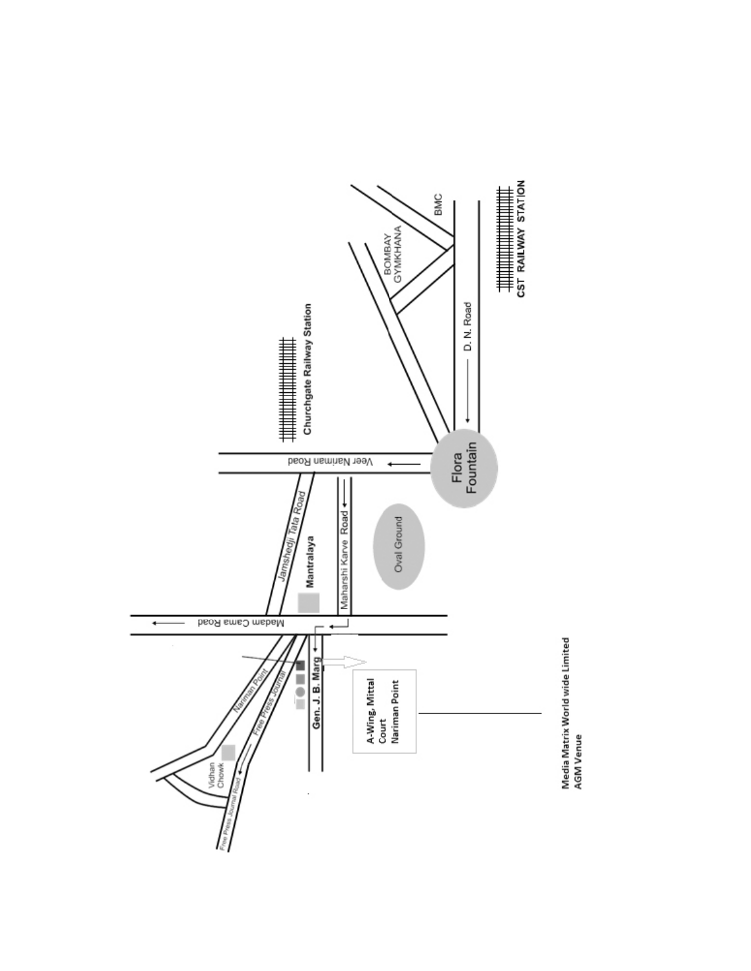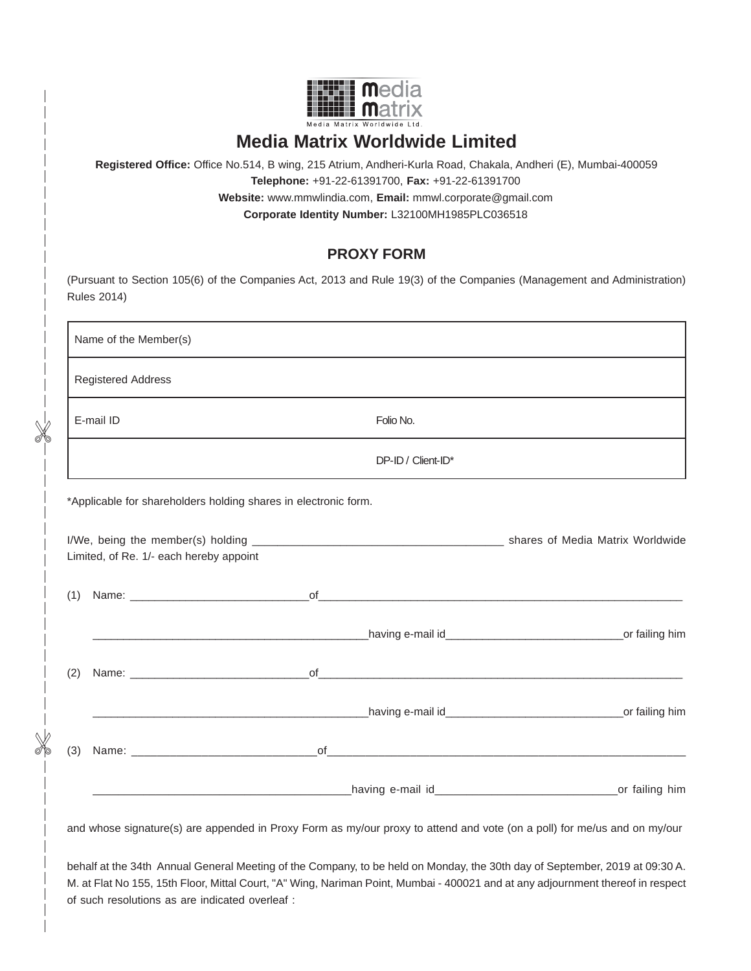

# **Media Matrix Worldwide Limited**

**Registered Office:** Office No.514, B wing, 215 Atrium, Andheri-Kurla Road, Chakala, Andheri (E), Mumbai-400059 **Telephone:** +91-22-61391700, **Fax:** +91-22-61391700 **Website:** www.mmwlindia.com, **Email:** mmwl.corporate@gmail.com

**Corporate Identity Number:** L32100MH1985PLC036518

## **PROXY FORM**

| Name of the Member(s)                   |                                                                                                                                                                                                                                      |  |
|-----------------------------------------|--------------------------------------------------------------------------------------------------------------------------------------------------------------------------------------------------------------------------------------|--|
| <b>Registered Address</b>               |                                                                                                                                                                                                                                      |  |
| E-mail ID                               | Folio No.                                                                                                                                                                                                                            |  |
|                                         | DP-ID / Client-ID*                                                                                                                                                                                                                   |  |
|                                         | *Applicable for shareholders holding shares in electronic form.                                                                                                                                                                      |  |
| Limited, of Re. 1/- each hereby appoint |                                                                                                                                                                                                                                      |  |
|                                         |                                                                                                                                                                                                                                      |  |
|                                         |                                                                                                                                                                                                                                      |  |
|                                         |                                                                                                                                                                                                                                      |  |
|                                         |                                                                                                                                                                                                                                      |  |
|                                         | <u>having e-mail id_entential contract of failing himes and identical contract of failing himes and the set of the set of the set of failing himes and the set of the set of the set of the set of the set of the set of the set</u> |  |
|                                         |                                                                                                                                                                                                                                      |  |
| (2)                                     |                                                                                                                                                                                                                                      |  |